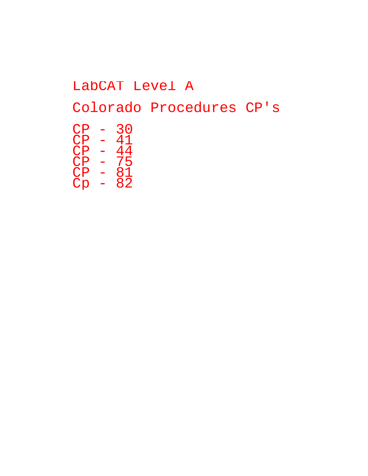# LabCAT Level A  $\overline{\phantom{a}}$ Colorado Procedures CP's  $CP - 30$  $CP - 41$

 $CP - 44$  $CP - 75$  $CP - 81$  $Cp - 82$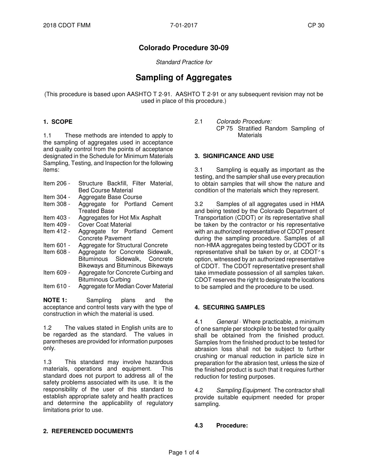# **Colorado Procedure 30-09**

Standard Practice for

# **Sampling of Aggregates**

(This procedure is based upon AASHTO T 2-91. AASHTO T 2-91 or any subsequent revision may not be used in place of this procedure.)

# **1. SCOPE**

1.1 These methods are intended to apply to the sampling of aggregates used in acceptance and quality control from the points of acceptance designated in the Schedule for Minimum Materials Sampling, Testing, and Inspection for the following items:

| Item 206 - | Structure Backfill. Filter Material.          |  |  |
|------------|-----------------------------------------------|--|--|
|            | <b>Bed Course Material</b>                    |  |  |
| Item 304 - | Aggregate Base Course                         |  |  |
| Item 308 - | Aggregate for Portland Cement<br>Trooted Doop |  |  |

- Treated Base
- Item 403 Aggregates for Hot Mix Asphalt<br>Item 409 Cover Coat Material
- **Cover Coat Material**
- Item 412 Aggregate for Portland Cement Concrete Pavement
- Item 601 Aggregate for Structural Concrete
- Item 608 Aggregate for Concrete Sidewalk, Bituminous Sidewalk, Concrete Bikeways and Bituminous Bikeways
- Item 609 Aggregate for Concrete Curbing and Bituminous Curbing
- Item 610 Aggregate for Median Cover Material

**NOTE 1:** Sampling plans and the acceptance and control tests vary with the type of construction in which the material is used.

1.2 The values stated in English units are to be regarded as the standard. The values in parentheses are provided for information purposes only.

1.3 This standard may involve hazardous materials, operations and equipment. This standard does not purport to address all of the safety problems associated with its use. It is the responsibility of the user of this standard to establish appropriate safety and health practices and determine the applicability of regulatory limitations prior to use.

# **2. REFERENCED DOCUMENTS**

2.1 Colorado Procedure: CP 75 Stratified Random Sampling of **Materials** 

### **3. SIGNIFICANCE AND USE**

3.1 Sampling is equally as important as the testing, and the sampler shall use every precaution to obtain samples that will show the nature and condition of the materials which they represent.

3.2 Samples of all aggregates used in HMA and being tested by the Colorado Department of Transportation (CDOT) or its representative shall be taken by the contractor or his representative with an authorized representative of CDOT present during the sampling procedure. Samples of all non-HMA aggregates being tested by CDOT or its representative shall be taken by or, at CDOT's option, witnessed by an authorized representative of CDOT. The CDOT representative present shall take immediate possession of all samples taken. CDOT reserves the right to designate the locations to be sampled and the procedure to be used.

# **4. SECURING SAMPLES**

4.1 General ⋅ Where practicable, a minimum of one sample per stockpile to be tested for quality shall be obtained from the finished product. Samples from the finished product to be tested for abrasion loss shall not be subject to further crushing or manual reduction in particle size in preparation for the abrasion test, unless the size of the finished product is such that it requires further reduction for testing purposes.

4.2 Sampling Equipment. The contractor shall provide suitable equipment needed for proper sampling.

# **4.3 Procedure:**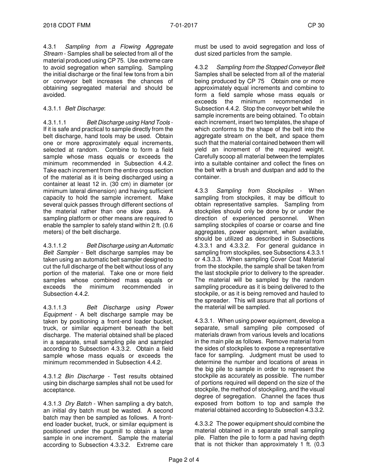4.3.1 Sampling from a Flowing Aggregate Stream - Samples shall be selected from all of the material produced using CP 75. Use extreme care to avoid segregation when sampling. Sampling the initial discharge or the final few tons from a bin or conveyor belt increases the chances of obtaining segregated material and should be avoided.

## 4.3.1.1 Belt Discharge:

4.3.1.1.1 Belt Discharge using Hand Tools - If it is safe and practical to sample directly from the belt discharge, hand tools may be used. Obtain one or more approximately equal increments, selected at random. Combine to form a field sample whose mass equals or exceeds the minimum recommended in Subsection 4.4.2. Take each increment from the entire cross section of the material as it is being discharged using a container at least 12 in. (30 cm) in diameter (or minimum lateral dimension) and having sufficient capacity to hold the sample increment. Make several quick passes through different sections of the material rather than one slow pass. A sampling platform or other means are required to enable the sampler to safely stand within 2 ft. (0.6 meters) of the belt discharge.

4.3.1.1.2 Belt Discharge using an Automatic Belt Sampler - Belt discharge samples may be taken using an automatic belt sampler designed to cut the full discharge of the belt without loss of any portion of the material. Take one or more field samples whose combined mass equals or exceeds the minimum recommended in Subsection 4.4.2.

4.3.1.1.3 Belt Discharge using Power Equipment - A belt discharge sample may be taken by positioning a front-end loader bucket, truck, or similar equipment beneath the belt discharge. The material obtained shall be placed in a separate, small sampling pile and sampled according to Subsection 4.3.3.2. Obtain a field sample whose mass equals or exceeds the minimum recommended in Subsection 4.4.2.

4.3.1.2 Bin Discharge - Test results obtained using bin discharge samples shall not be used for acceptance.

4.3.1.3 Dry Batch - When sampling a dry batch, an initial dry batch must be wasted. A second batch may then be sampled as follows. A frontend loader bucket, truck, or similar equipment is positioned under the pugmill to obtain a large sample in one increment. Sample the material according to Subsection 4.3.3.2. Extreme care must be used to avoid segregation and loss of dust sized particles from the sample.

4.3.2 Sampling from the Stopped Conveyor Belt Samples shall be selected from all of the material being produced by CP 75 Obtain one or more approximately equal increments and combine to form a field sample whose mass equals or exceeds the minimum recommended in Subsection 4.4.2. Stop the conveyor belt while the sample increments are being obtained. To obtain each increment, insert two templates, the shape of which conforms to the shape of the belt into the aggregate stream on the belt, and space them such that the material contained between them will yield an increment of the required weight. Carefully scoop all material between the templates into a suitable container and collect the fines on the belt with a brush and dustpan and add to the container.

4.3.3 Sampling from Stockpiles - When sampling from stockpiles, it may be difficult to obtain representative samples. Sampling from stockpiles should only be done by or under the direction of experienced personnel. When sampling stockpiles of coarse or coarse and fine aggregates, power equipment, when available, should be utilized as described in Subsections 4.3.3.1 and 4.3.3.2. For general guidance in sampling from stockpiles, see Subsections 4.3.3.1 or 4.3.3.3. When sampling Cover Coat Material from the stockpile, the sample shall be taken from the last stockpile prior to delivery to the spreader. The material will be sampled by the random sampling procedure as it is being delivered to the stockpile, or as it is being removed and hauled to the spreader. This will assure that all portions of the material will be sampled.

4.3.3.1. When using power equipment, develop a separate, small sampling pile composed of materials drawn from various levels and locations in the main pile as follows. Remove material from the sides of stockpiles to expose a representative face for sampling. Judgment must be used to determine the number and locations of areas in the big pile to sample in order to represent the stockpile as accurately as possible. The number of portions required will depend on the size of the stockpile, the method of stockpiling, and the visual degree of segregation. Channel the faces thus exposed from bottom to top and sample the material obtained according to Subsection 4.3.3.2.

4.3.3.2 The power equipment should combine the material obtained in a separate small sampling pile. Flatten the pile to form a pad having depth that is not thicker than approximately 1 ft. (0.3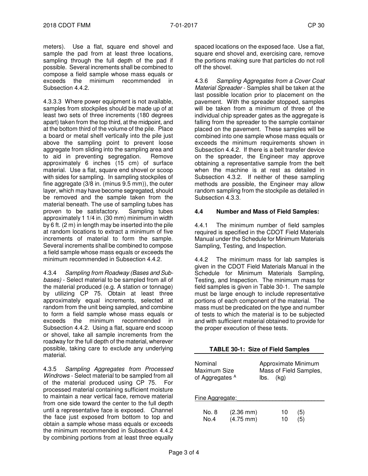meters). Use a flat, square end shovel and sample the pad from at least three locations, sampling through the full depth of the pad if possible. Several increments shall be combined to compose a field sample whose mass equals or exceeds the minimum recommended in Subsection 4.4.2.

4.3.3.3 Where power equipment is not available, samples from stockpiles should be made up of at least two sets of three increments (180 degrees apart) taken from the top third, at the midpoint, and at the bottom third of the volume of the pile. Place a board or metal shelf vertically into the pile just above the sampling point to prevent loose aggregate from sliding into the sampling area and to aid in preventing segregation. Remove approximately 6 inches (15 cm) of surface material. Use a flat, square end shovel or scoop with sides for sampling. In sampling stockpiles of fine aggregate (3/8 in. (minus 9.5 mm)), the outer layer, which may have become segregated, should be removed and the sample taken from the material beneath. The use of sampling tubes has proven to be satisfactory. Sampling tubes approximately 1 1/4 in. (30 mm) minimum in width by 6 ft. (2 m) in length may be inserted into the pile at random locations to extract a minimum of five increments of material to form the sample. Several increments shall be combined to compose a field sample whose mass equals or exceeds the minimum recommended in Subsection 4.4.2.

4.3.4 Sampling from Roadway (Bases and Subbases) - Select material to be sampled from all of the material produced (e.g. A station or tonnage) by utilizing CP 75. Obtain at least three approximately equal increments, selected at random from the unit being sampled, and combine to form a field sample whose mass equals or exceeds the minimum recommended in Subsection 4.4.2. Using a flat, square end scoop or shovel, take all sample increments from the roadway for the full depth of the material, wherever possible, taking care to exclude any underlying material.

4.3.5 Sampling Aggregates from Processed Windrows - Select material to be sampled from all of the material produced using CP 75. For processed material containing sufficient moisture to maintain a near vertical face, remove material from one side toward the center to the full depth until a representative face is exposed. Channel the face just exposed from bottom to top and obtain a sample whose mass equals or exceeds the minimum recommended in Subsection 4.4.2 by combining portions from at least three equally

spaced locations on the exposed face. Use a flat, square end shovel and, exercising care, remove the portions making sure that particles do not roll off the shovel.

4.3.6 Sampling Aggregates from a Cover Coat Material Spreader - Samples shall be taken at the last possible location prior to placement on the pavement. With the spreader stopped, samples will be taken from a minimum of three of the individual chip spreader gates as the aggregate is falling from the spreader to the sample container placed on the pavement. These samples will be combined into one sample whose mass equals or exceeds the minimum requirements shown in Subsection 4.4.2. If there is a belt transfer device on the spreader, the Engineer may approve obtaining a representative sample from the belt when the machine is at rest as detailed in Subsection 4.3.2. If neither of these sampling methods are possible, the Engineer may allow random sampling from the stockpile as detailed in Subsection 4.3.3.

#### **4.4 Number and Mass of Field Samples:**

4.4.1 The minimum number of field samples required is specified in the CDOT Field Materials Manual under the Schedule for Minimum Materials Sampling, Testing, and Inspection.

4.4.2 The minimum mass for lab samples is given in the CDOT Field Materials Manual in the Schedule for Minimum Materials Sampling, Testing, and Inspection. The minimum mass for field samples is given in Table 30-1. The sample must be large enough to include representative portions of each component of the material. The mass must be predicated on the type and number of tests to which the material is to be subjected and with sufficient material obtained to provide for the proper execution of these tests.

| LADEL 00-T. OILC 01 FIGN OUTINICS          |                                                |      |          |                                               |  |
|--------------------------------------------|------------------------------------------------|------|----------|-----------------------------------------------|--|
| Nominal<br>Maximum Size<br>of Aggregates A |                                                | lbs. | (kq)     | Approximate Minimum<br>Mass of Field Samples, |  |
| Fine Aggregate:                            |                                                |      |          |                                               |  |
| No. 8<br>No.4                              | $(2.36 \, \text{mm})$<br>$(4.75 \, \text{mm})$ |      | 10<br>10 | (5)<br>5                                      |  |

**TABLE 30-1: Size of Field Samples**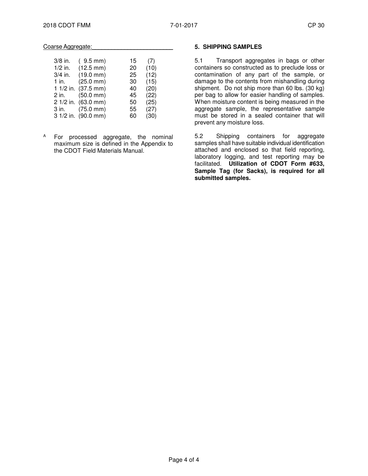| Coarse Aggregate: |  |
|-------------------|--|
|                   |  |

| $3/8$ in. | $(9.5 \text{ mm})$    | 15 | (7)  |
|-----------|-----------------------|----|------|
| $1/2$ in. | $(12.5 \, \text{mm})$ | 20 | (10) |
|           | $3/4$ in. $(19.0$ mm) | 25 | (12) |
| 1 in.     | $(25.0 \, \text{mm})$ | 30 | (15) |
|           | 1 1/2 in. (37.5 mm)   | 40 | (20) |
|           | 2 in. (50.0 mm)       | 45 | (22) |
|           | 2 1/2 in. (63.0 mm)   | 50 | (25) |
|           | 3 in. (75.0 mm)       | 55 | (27) |
|           | 3 1/2 in. (90.0 mm)   | 60 | (30) |

A For processed aggregate, the nominal maximum size is defined in the Appendix to the CDOT Field Materials Manual.

#### **5. SHIPPING SAMPLES**

5.1 Transport aggregates in bags or other containers so constructed as to preclude loss or contamination of any part of the sample, or damage to the contents from mishandling during shipment. Do not ship more than 60 lbs. (30 kg) per bag to allow for easier handling of samples. When moisture content is being measured in the aggregate sample, the representative sample must be stored in a sealed container that will prevent any moisture loss.

5.2 Shipping containers for aggregate samples shall have suitable individual identification attached and enclosed so that field reporting, laboratory logging, and test reporting may be facilitated. **Utilization of CDOT Form #633, Sample Tag (for Sacks), is required for all submitted samples.**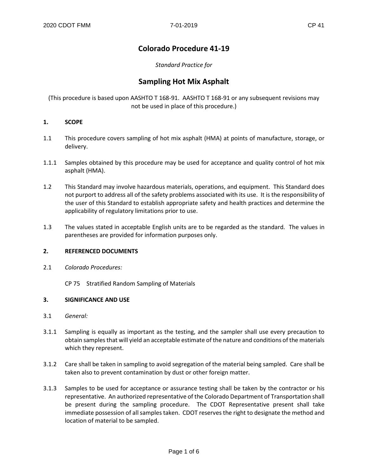# **Colorado Procedure 41-19**

*Standard Practice for*

# **Sampling Hot Mix Asphalt**

(This procedure is based upon AASHTO T 168-91. AASHTO T 168-91 or any subsequent revisions may not be used in place of this procedure.)

### **1. SCOPE**

- 1.1 This procedure covers sampling of hot mix asphalt (HMA) at points of manufacture, storage, or delivery.
- 1.1.1 Samples obtained by this procedure may be used for acceptance and quality control of hot mix asphalt (HMA).
- 1.2 This Standard may involve hazardous materials, operations, and equipment. This Standard does not purport to address all of the safety problems associated with its use. It is the responsibility of the user of this Standard to establish appropriate safety and health practices and determine the applicability of regulatory limitations prior to use.
- 1.3 The values stated in acceptable English units are to be regarded as the standard. The values in parentheses are provided for information purposes only.

#### **2. REFERENCED DOCUMENTS**

2.1 *Colorado Procedures:*

CP 75 Stratified Random Sampling of Materials

#### **3. SIGNIFICANCE AND USE**

- 3.1 *General:*
- 3.1.1 Sampling is equally as important as the testing, and the sampler shall use every precaution to obtain samples that will yield an acceptable estimate of the nature and conditions of the materials which they represent.
- 3.1.2 Care shall be taken in sampling to avoid segregation of the material being sampled. Care shall be taken also to prevent contamination by dust or other foreign matter.
- 3.1.3 Samples to be used for acceptance or assurance testing shall be taken by the contractor or his representative. An authorized representative of the Colorado Department of Transportation shall be present during the sampling procedure. The CDOT Representative present shall take immediate possession of all samples taken. CDOT reserves the right to designate the method and location of material to be sampled.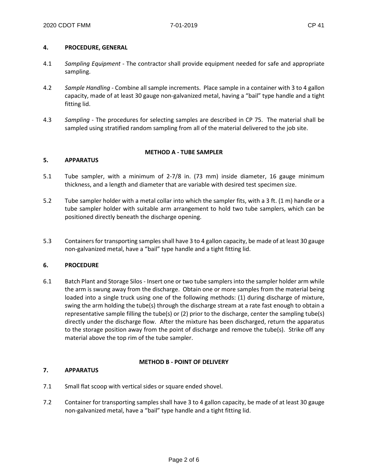#### **4. PROCEDURE, GENERAL**

- 4.1 *Sampling Equipment* The contractor shall provide equipment needed for safe and appropriate sampling.
- 4.2 *Sample Handling -* Combine all sample increments. Place sample in a container with 3 to 4 gallon capacity, made of at least 30 gauge non-galvanized metal, having a "bail" type handle and a tight fitting lid.
- 4.3 *Sampling* The procedures for selecting samples are described in CP 75. The material shall be sampled using stratified random sampling from all of the material delivered to the job site.

#### **METHOD A - TUBE SAMPLER**

### **5. APPARATUS**

- 5.1 Tube sampler, with a minimum of 2-7/8 in. (73 mm) inside diameter, 16 gauge minimum thickness, and a length and diameter that are variable with desired test specimen size.
- 5.2 Tube sampler holder with a metal collar into which the sampler fits, with a 3 ft. (1 m) handle or a tube sampler holder with suitable arm arrangement to hold two tube samplers, which can be positioned directly beneath the discharge opening.
- 5.3 Containers for transporting samples shall have 3 to 4 gallon capacity, be made of at least 30 gauge non-galvanized metal, have a "bail" type handle and a tight fitting lid.

#### **6. PROCEDURE**

6.1 Batch Plant and Storage Silos - Insert one or two tube samplers into the sampler holder arm while the arm is swung away from the discharge. Obtain one or more samples from the material being loaded into a single truck using one of the following methods: (1) during discharge of mixture, swing the arm holding the tube(s) through the discharge stream at a rate fast enough to obtain a representative sample filling the tube(s) or (2) prior to the discharge, center the sampling tube(s) directly under the discharge flow. After the mixture has been discharged, return the apparatus to the storage position away from the point of discharge and remove the tube(s). Strike off any material above the top rim of the tube sampler.

#### **METHOD B - POINT OF DELIVERY**

#### **7. APPARATUS**

- 7.1 Small flat scoop with vertical sides or square ended shovel.
- 7.2 Container for transporting samples shall have 3 to 4 gallon capacity, be made of at least 30 gauge non-galvanized metal, have a "bail" type handle and a tight fitting lid.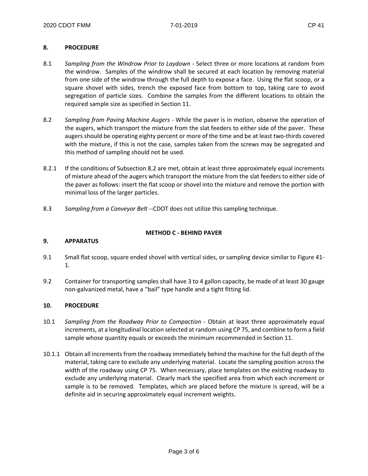### **8. PROCEDURE**

- 8.1 *Sampling from the Windrow Prior to Laydown* Select three or more locations at random from the windrow. Samples of the windrow shall be secured at each location by removing material from one side of the windrow through the full depth to expose a face. Using the flat scoop, or a square shovel with sides, trench the exposed face from bottom to top, taking care to avoid segregation of particle sizes. Combine the samples from the different locations to obtain the required sample size as specified in Section 11.
- 8.2 *Sampling from Paving Machine Augers* While the paver is in motion, observe the operation of the augers, which transport the mixture from the slat feeders to either side of the paver. These augers should be operating eighty percent or more of the time and be at least two-thirds covered with the mixture, if this is not the case, samples taken from the screws may be segregated and this method of sampling should not be used.
- 8.2.1 If the conditions of Subsection 8.2 are met, obtain at least three approximately equal increments of mixture ahead of the augers which transport the mixture from the slat feeders to either side of the paver as follows: insert the flat scoop or shovel into the mixture and remove the portion with minimal loss of the larger particles.
- 8.3 *Sampling from a Conveyor Belt* --CDOT does not utilize this sampling technique.

#### **METHOD C - BEHIND PAVER**

#### **9. APPARATUS**

- 9.1 Small flat scoop, square ended shovel with vertical sides, or sampling device similar to Figure 41- 1.
- 9.2 Container for transporting samples shall have 3 to 4 gallon capacity, be made of at least 30 gauge non-galvanized metal, have a "bail" type handle and a tight fitting lid.

#### **10. PROCEDURE**

- 10.1 *Sampling from the Roadway Prior to Compaction* Obtain at least three approximately equal increments, at a longitudinal location selected at random using CP 75, and combine to form a field sample whose quantity equals or exceeds the minimum recommended in Section 11.
- 10.1.1 Obtain all increments from the roadway immediately behind the machine for the full depth of the material, taking care to exclude any underlying material. Locate the sampling position across the width of the roadway using CP 75. When necessary, place templates on the existing roadway to exclude any underlying material. Clearly mark the specified area from which each increment or sample is to be removed. Templates, which are placed before the mixture is spread, will be a definite aid in securing approximately equal increment weights.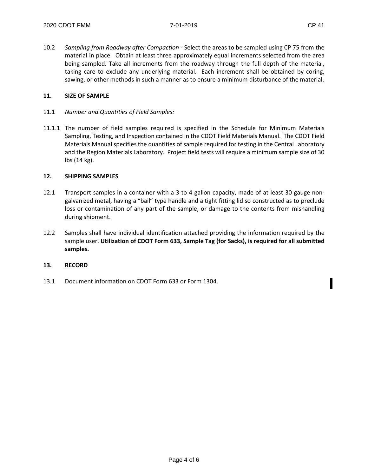I

10.2 *Sampling from Roadway after Compaction* - Select the areas to be sampled using CP 75 from the material in place. Obtain at least three approximately equal increments selected from the area being sampled. Take all increments from the roadway through the full depth of the material, taking care to exclude any underlying material. Each increment shall be obtained by coring, sawing, or other methods in such a manner as to ensure a minimum disturbance of the material.

#### **11. SIZE OF SAMPLE**

#### 11.1 *Number and Quantities of Field Samples:*

11.1.1 The number of field samples required is specified in the Schedule for Minimum Materials Sampling, Testing, and Inspection contained in the CDOT Field Materials Manual. The CDOT Field Materials Manual specifies the quantities of sample required for testing in the Central Laboratory and the Region Materials Laboratory. Project field tests will require a minimum sample size of 30 lbs (14 kg).

### **12. SHIPPING SAMPLES**

- 12.1 Transport samples in a container with a 3 to 4 gallon capacity, made of at least 30 gauge nongalvanized metal, having a "bail" type handle and a tight fitting lid so constructed as to preclude loss or contamination of any part of the sample, or damage to the contents from mishandling during shipment.
- 12.2 Samples shall have individual identification attached providing the information required by the sample user. **Utilization of CDOT Form 633, Sample Tag (for Sacks), is required for all submitted samples.**

#### **13. RECORD**

13.1 Document information on CDOT Form 633 or Form 1304.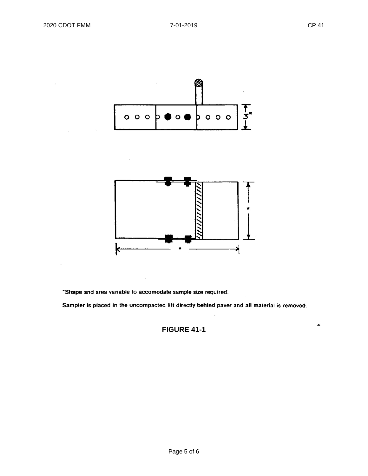



\*Shape and area variable to accomodate sample size required.

Sampler is placed in the uncompacted lift directly behind paver and all material is removed.

# **FIGURE 41-1**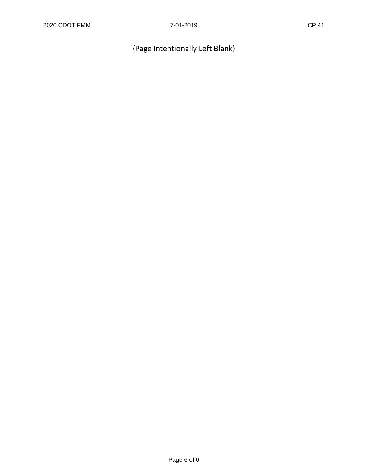# {Page Intentionally Left Blank}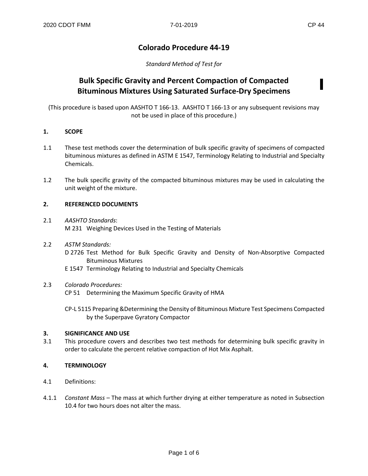# **Colorado Procedure 44-19**

*Standard Method of Test for*

# **Bulk Specific Gravity and Percent Compaction of Compacted Bituminous Mixtures Using Saturated Surface-Dry Specimens**

(This procedure is based upon AASHTO T 166-13. AASHTO T 166-13 or any subsequent revisions may not be used in place of this procedure.)

### **1. SCOPE**

- 1.1 These test methods cover the determination of bulk specific gravity of specimens of compacted bituminous mixtures as defined in ASTM E 1547, Terminology Relating to Industrial and Specialty Chemicals.
- 1.2 The bulk specific gravity of the compacted bituminous mixtures may be used in calculating the unit weight of the mixture.

### **2. REFERENCED DOCUMENTS**

- 2.1 *AASHTO Standards*: M 231 Weighing Devices Used in the Testing of Materials
- 2.2 *ASTM Standards:*
	- D 2726 Test Method for Bulk Specific Gravity and Density of Non-Absorptive Compacted Bituminous Mixtures
	- E 1547 Terminology Relating to Industrial and Specialty Chemicals

#### 2.3 *Colorado Procedures:*

- CP 51 Determining the Maximum Specific Gravity of HMA
- CP-L 5115 Preparing &Determining the Density of Bituminous Mixture Test Specimens Compacted by the Superpave Gyratory Compactor

#### **3. SIGNIFICANCE AND USE**

3.1 This procedure covers and describes two test methods for determining bulk specific gravity in order to calculate the percent relative compaction of Hot Mix Asphalt.

#### **4. TERMINOLOGY**

- 4.1 Definitions:
- 4.1.1 *Constant Mass* The mass at which further drying at either temperature as noted in Subsection 10.4 for two hours does not alter the mass.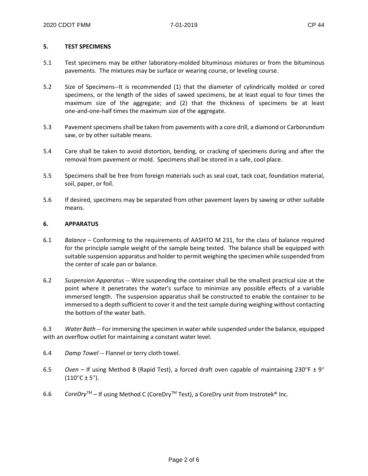#### **5. TEST SPECIMENS**

- 5.1 Test specimens may be either laboratory-molded bituminous mixtures or from the bituminous pavements. The mixtures may be surface or wearing course, or leveling course.
- 5.2 Size of Specimens--It is recommended (1) that the diameter of cylindrically molded or cored specimens, or the length of the sides of sawed specimens, be at least equal to four times the maximum size of the aggregate; and (2) that the thickness of specimens be at least one-and-one-half times the maximum size of the aggregate.
- 5.3 Pavement specimens shall be taken from pavements with a core drill, a diamond or Carborundum saw, or by other suitable means.
- 5.4 Care shall be taken to avoid distortion, bending, or cracking of specimens during and after the removal from pavement or mold. Specimens shall be stored in a safe, cool place.
- 5.5 Specimens shall be free from foreign materials such as seal coat, tack coat, foundation material, soil, paper, or foil.
- 5.6 If desired, specimens may be separated from other pavement layers by sawing or other suitable means.

#### **6. APPARATUS**

- 6.1 *Balance*  Conforming to the requirements of AASHTO M 231, for the class of balance required for the principle sample weight of the sample being tested. The balance shall be equipped with suitable suspension apparatus and holder to permit weighing the specimen while suspended from the center of scale pan or balance.
- 6.2 *Suspension Apparatus* -- Wire suspending the container shall be the smallest practical size at the point where it penetrates the water's surface to minimize any possible effects of a variable immersed length. The suspension apparatus shall be constructed to enable the container to be immersed to a depth sufficient to cover it and the test sample during weighing without contacting the bottom of the water bath.

6.3 *Water Bath* -- For immersing the specimen in water while suspended under the balance, equipped with an overflow outlet for maintaining a constant water level.

- 6.4 *Damp Towel* -- Flannel or terry cloth towel.
- 6.5 *Oven* If using Method B (Rapid Test), a forced draft oven capable of maintaining 230°F  $\pm$  9°  $(110^{\circ}C \pm 5^{\circ}).$
- 6.6 *CoreDryTM* If using Method C (CoreDryTM Test), a CoreDry unit from Instrotek® Inc.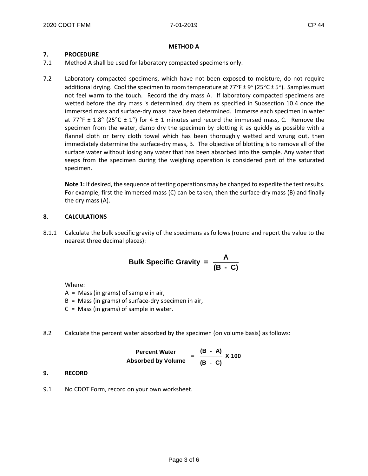#### **METHOD A**

#### **7. PROCEDURE**

- 7.1 Method A shall be used for laboratory compacted specimens only.
- 7.2 Laboratory compacted specimens, which have not been exposed to moisture, do not require additional drying. Cool the specimen to room temperature at  $77^{\circ}$ F ± 9° (25°C ± 5°). Samples must not feel warm to the touch. Record the dry mass A. If laboratory compacted specimens are wetted before the dry mass is determined, dry them as specified in Subsection 10.4 once the immersed mass and surface-dry mass have been determined. Immerse each specimen in water at 77°F  $\pm$  1.8° (25°C  $\pm$  1°) for 4  $\pm$  1 minutes and record the immersed mass, C. Remove the specimen from the water, damp dry the specimen by blotting it as quickly as possible with a flannel cloth or terry cloth towel which has been thoroughly wetted and wrung out, then immediately determine the surface-dry mass, B. The objective of blotting is to remove all of the surface water without losing any water that has been absorbed into the sample. Any water that seeps from the specimen during the weighing operation is considered part of the saturated specimen.

**Note 1:** If desired, the sequence of testing operations may be changed to expedite the test results. For example, first the immersed mass (C) can be taken, then the surface-dry mass (B) and finally the dry mass (A).

### **8. CALCULATIONS**

8.1.1 Calculate the bulk specific gravity of the specimens as follows (round and report the value to the nearest three decimal places):

Bulk Specific Gravity = 
$$
\frac{A}{(B - C)}
$$

Where:

 $A =$  Mass (in grams) of sample in air,

- $B =$  Mass (in grams) of surface-dry specimen in air,
- $C =$  Mass (in grams) of sample in water.
- 8.2 Calculate the percent water absorbed by the specimen (on volume basis) as follows:

Percent Water  
Absorbed by Volume 
$$
= \frac{(B - A)}{(B - C)} \times 100
$$

#### **9. RECORD**

9.1 No CDOT Form, record on your own worksheet.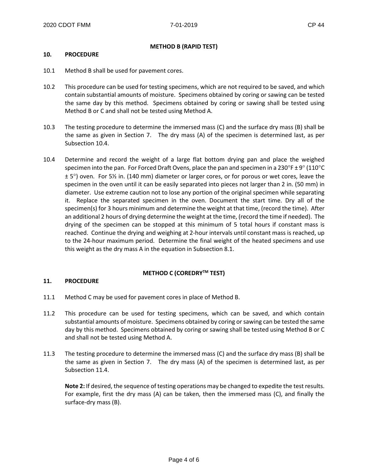#### **METHOD B (RAPID TEST)**

#### **10. PROCEDURE**

- 10.1 Method B shall be used for pavement cores.
- 10.2 This procedure can be used for testing specimens, which are not required to be saved, and which contain substantial amounts of moisture. Specimens obtained by coring or sawing can be tested the same day by this method. Specimens obtained by coring or sawing shall be tested using Method B or C and shall not be tested using Method A.
- 10.3 The testing procedure to determine the immersed mass (C) and the surface dry mass (B) shall be the same as given in Section 7. The dry mass (A) of the specimen is determined last, as per Subsection 10.4.
- 10.4 Determine and record the weight of a large flat bottom drying pan and place the weighed specimen into the pan. For Forced Draft Ovens, place the pan and specimen in a 230°F  $\pm$  9° (110°C ± 5°) oven. For 5½ in. (140 mm) diameter or larger cores, or for porous or wet cores, leave the specimen in the oven until it can be easily separated into pieces not larger than 2 in. (50 mm) in diameter. Use extreme caution not to lose any portion of the original specimen while separating it. Replace the separated specimen in the oven. Document the start time. Dry all of the specimen(s) for 3 hours minimum and determine the weight at that time, (record the time). After an additional 2 hours of drying determine the weight at the time, (record the time if needed). The drying of the specimen can be stopped at this minimum of 5 total hours if constant mass is reached. Continue the drying and weighing at 2-hour intervals until constant mass is reached, up to the 24-hour maximum period. Determine the final weight of the heated specimens and use this weight as the dry mass A in the equation in Subsection 8.1.

#### **METHOD C (COREDRYTM TEST)**

#### **11. PROCEDURE**

- 11.1 Method C may be used for pavement cores in place of Method B.
- 11.2 This procedure can be used for testing specimens, which can be saved, and which contain substantial amounts of moisture. Specimens obtained by coring or sawing can be tested the same day by this method. Specimens obtained by coring or sawing shall be tested using Method B or C and shall not be tested using Method A.
- 11.3 The testing procedure to determine the immersed mass (C) and the surface dry mass (B) shall be the same as given in Section 7. The dry mass (A) of the specimen is determined last, as per Subsection 11.4.

**Note 2:** If desired, the sequence of testing operations may be changed to expedite the test results. For example, first the dry mass (A) can be taken, then the immersed mass (C), and finally the surface-dry mass (B).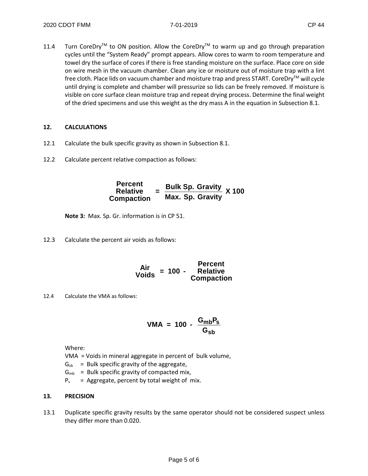11.4 Turn CoreDry<sup>™</sup> to ON position. Allow the CoreDry<sup>™</sup> to warm up and go through preparation cycles until the "System Ready" prompt appears. Allow cores to warm to room temperature and towel dry the surface of cores if there is free standing moisture on the surface. Place core on side on wire mesh in the vacuum chamber. Clean any ice or moisture out of moisture trap with a lint free cloth. Place lids on vacuum chamber and moisture trap and press START. CoreDry<sup>™</sup> will cycle until drying is complete and chamber will pressurize so lids can be freely removed. If moisture is visible on core surface clean moisture trap and repeat drying process. Determine the final weight of the dried specimens and use this weight as the dry mass A in the equation in Subsection 8.1.

# **12. CALCULATIONS**

- 12.1 Calculate the bulk specific gravity as shown in Subsection 8.1.
- 12.2 Calculate percent relative compaction as follows:

**Percent Relative Compaction <sup>=</sup> Bulk Sp. Gravity Max. Sp. Gravity X 100**

**Note 3:** Max. Sp. Gr. information is in CP 51.

12.3 Calculate the percent air voids as follows:

**Air Voids = 100 - Percent Relative Compaction**

12.4 Calculate the VMA as follows:

$$
VMA = 100 - \frac{G_{mb}P_s}{G_{sb}}
$$

Where:

VMA = Voids in mineral aggregate in percent of bulk volume,

- $G_{sb}$  = Bulk specific gravity of the aggregate,
- $G_{mb}$  = Bulk specific gravity of compacted mix,
- $P_s$  = Aggregate, percent by total weight of mix.

#### **13. PRECISION**

13.1 Duplicate specific gravity results by the same operator should not be considered suspect unless they differ more than 0.020.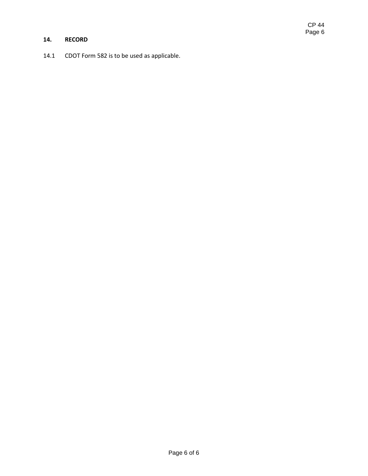# **14. RECORD**

14.1 CDOT Form 582 is to be used as applicable.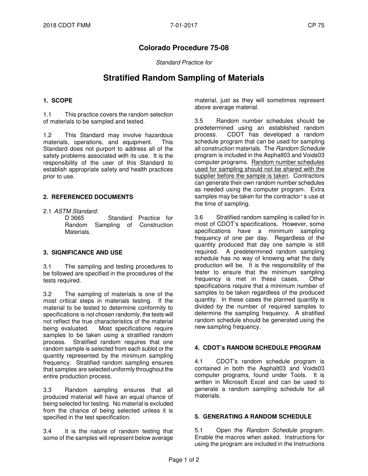# **Colorado Procedure 75-08**

Standard Practice for

# **Stratified Random Sampling of Materials**

## **1. SCOPE**

1.1 This practice covers the random selection of materials to be sampled and tested.

1.2 This Standard may involve hazardous materials, operations, and equipment. This Standard does not purport to address all of the safety problems associated with its use. It is the responsibility of the user of this Standard to establish appropriate safety and health practices prior to use.

### **2. REFERENCED DOCUMENTS**

# 2.1 *ASTM Standard:*<br>D 3665

Standard Practice for Random Sampling of Construction Materials.

#### **3. SIGNIFICANCE AND USE**

3.1 The sampling and testing procedures to be followed are specified in the procedures of the tests required.

3.2 The sampling of materials is one of the most critical steps in materials testing. If the material to be tested to determine conformity to specifications is not chosen randomly, the tests will not reflect the true characteristics of the material being evaluated. Most specifications require samples to be taken using a stratified random process. Stratified random requires that one random sample is selected from each sublot or the quantity represented by the minimum sampling frequency. Stratified random sampling ensures that samples are selected uniformly throughout the entire production process.

3.3 Random sampling ensures that all produced material will have an equal chance of being selected for testing. No material is excluded from the chance of being selected unless it is specified in the test specification.

3.4 It is the nature of random testing that some of the samples will represent below average

material, just as they will sometimes represent above average material.

3.5 Random number schedules should be predetermined using an established random<br>process. CDOT has developed a random CDOT has developed a random schedule program that can be used for sampling all construction materials. The Random Schedule program is included in the Asphalt03 and Voids03 computer programs. Random number schedules used for sampling should not be shared with the supplier before the sample is taken. Contractors can generate their own random number schedules as needed using the computer program. Extra samples may be taken for the contractor's use at the time of sampling.

3.6 Stratified random sampling is called for in most of CDOT's specifications. However, some specifications have a minimum sampling frequency of one per day. Regardless of the quantity produced that day one sample is still required. A predetermined random sampling schedule has no way of knowing what the daily production will be. It is the responsibility of the tester to ensure that the minimum sampling frequency is met in these cases. Other specifications require that a minimum number of samples to be taken regardless of the produced quantity. In these cases the planned quantity is divided by the number of required samples to determine the sampling frequency. A stratified random schedule should be generated using the new sampling frequency.

#### **4. CDOT's RANDOM SCHEDULE PROGRAM**

4.1 CDOT's random schedule program is contained in both the Asphalt03 and Voids03 computer programs, found under Tools. It is written in Microsoft Excel and can be used to generate a random sampling schedule for all materials.

#### **5. GENERATING A RANDOM SCHEDULE**

5.1 Open the Random Schedule program. Enable the macros when asked. Instructions for using the program are included in the Instructions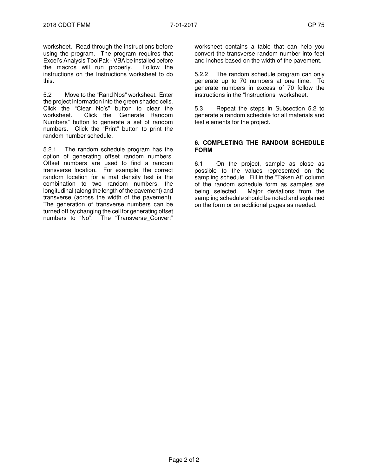worksheet. Read through the instructions before using the program. The program requires that Excel's Analysis ToolPak - VBA be installed before the macros will run properly. Follow the instructions on the Instructions worksheet to do this.

5.2 Move to the "Rand Nos" worksheet. Enter the project information into the green shaded cells. Click the "Clear No's" button to clear the<br>worksheet. Click the "Generate Random Click the "Generate Random Numbers" button to generate a set of random numbers. Click the "Print" button to print the random number schedule.

5.2.1 The random schedule program has the option of generating offset random numbers. Offset numbers are used to find a random transverse location. For example, the correct random location for a mat density test is the combination to two random numbers, the longitudinal (along the length of the pavement) and transverse (across the width of the pavement). The generation of transverse numbers can be turned off by changing the cell for generating offset numbers to "No". The "Transverse Convert"

worksheet contains a table that can help you convert the transverse random number into feet and inches based on the width of the pavement.

5.2.2 The random schedule program can only generate up to 70 numbers at one time. To generate numbers in excess of 70 follow the instructions in the "Instructions" worksheet.

5.3 Repeat the steps in Subsection 5.2 to generate a random schedule for all materials and test elements for the project.

#### **6. COMPLETING THE RANDOM SCHEDULE FORM**

6.1 On the project, sample as close as possible to the values represented on the sampling schedule. Fill in the "Taken At" column of the random schedule form as samples are being selected. Major deviations from the sampling schedule should be noted and explained on the form or on additional pages as needed.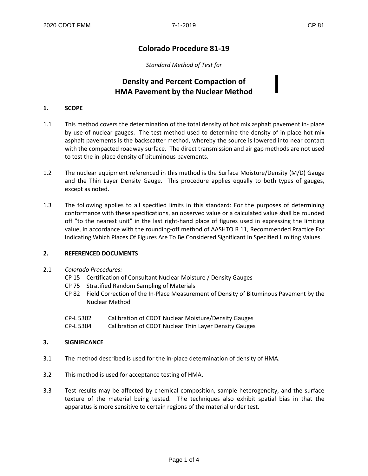# **Colorado Procedure 81-19**

*Standard Method of Test for*

# **Density and Percent Compaction of HMA Pavement by the Nuclear Method**

#### **1. SCOPE**

- 1.1 This method covers the determination of the total density of hot mix asphalt pavement in- place by use of nuclear gauges. The test method used to determine the density of in-place hot mix asphalt pavements is the backscatter method, whereby the source is lowered into near contact with the compacted roadway surface. The direct transmission and air gap methods are not used to test the in-place density of bituminous pavements.
- 1.2 The nuclear equipment referenced in this method is the Surface Moisture/Density (M/D) Gauge and the Thin Layer Density Gauge. This procedure applies equally to both types of gauges, except as noted.
- 1.3 The following applies to all specified limits in this standard: For the purposes of determining conformance with these specifications, an observed value or a calculated value shall be rounded off "to the nearest unit" in the last right-hand place of figures used in expressing the limiting value, in accordance with the rounding-off method of AASHTO R 11, Recommended Practice For Indicating Which Places Of Figures Are To Be Considered Significant In Specified Limiting Values.

#### **2. REFERENCED DOCUMENTS**

- 2.1 *Colorado Procedures:*
	- CP 15 Certification of Consultant Nuclear Moisture / Density Gauges
	- CP 75 Stratified Random Sampling of Materials
	- CP 82 Field Correction of the In-Place Measurement of Density of Bituminous Pavement by the Nuclear Method
	- CP-L 5302 Calibration of CDOT Nuclear Moisture/Density Gauges
	- CP-L 5304 Calibration of CDOT Nuclear Thin Layer Density Gauges

#### **3. SIGNIFICANCE**

- 3.1 The method described is used for the in-place determination of density of HMA.
- 3.2 This method is used for acceptance testing of HMA.
- 3.3 Test results may be affected by chemical composition, sample heterogeneity, and the surface texture of the material being tested. The techniques also exhibit spatial bias in that the apparatus is more sensitive to certain regions of the material under test.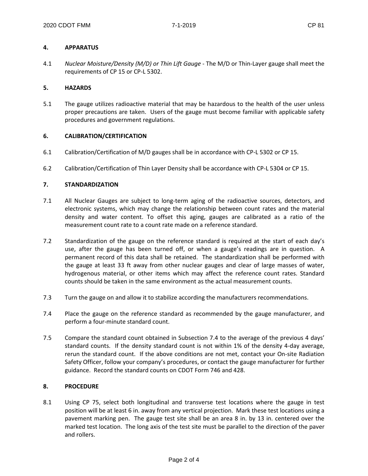### **4. APPARATUS**

4.1 *Nuclear Moisture/Density (M/D) or Thin Lift Gauge* - The M/D or Thin-Layer gauge shall meet the requirements of CP 15 or CP-L 5302.

### **5. HAZARDS**

5.1 The gauge utilizes radioactive material that may be hazardous to the health of the user unless proper precautions are taken. Users of the gauge must become familiar with applicable safety procedures and government regulations.

### **6. CALIBRATION/CERTIFICATION**

- 6.1 Calibration/Certification of M/D gauges shall be in accordance with CP-L 5302 or CP 15.
- 6.2 Calibration/Certification of Thin Layer Density shall be accordance with CP-L 5304 or CP 15.

### **7. STANDARDIZATION**

- 7.1 All Nuclear Gauges are subject to long-term aging of the radioactive sources, detectors, and electronic systems, which may change the relationship between count rates and the material density and water content. To offset this aging, gauges are calibrated as a ratio of the measurement count rate to a count rate made on a reference standard.
- 7.2 Standardization of the gauge on the reference standard is required at the start of each day's use, after the gauge has been turned off, or when a gauge's readings are in question. A permanent record of this data shall be retained. The standardization shall be performed with the gauge at least 33 ft away from other nuclear gauges and clear of large masses of water, hydrogenous material, or other items which may affect the reference count rates. Standard counts should be taken in the same environment as the actual measurement counts.
- 7.3 Turn the gauge on and allow it to stabilize according the manufacturers recommendations.
- 7.4 Place the gauge on the reference standard as recommended by the gauge manufacturer, and perform a four-minute standard count.
- 7.5 Compare the standard count obtained in Subsection 7.4 to the average of the previous 4 days' standard counts. If the density standard count is not within 1% of the density 4-day average, rerun the standard count. If the above conditions are not met, contact your On-site Radiation Safety Officer, follow your company's procedures, or contact the gauge manufacturer for further guidance. Record the standard counts on CDOT Form 746 and 428.

# **8. PROCEDURE**

8.1 Using CP 75, select both longitudinal and transverse test locations where the gauge in test position will be at least 6 in. away from any vertical projection. Mark these test locations using a pavement marking pen. The gauge test site shall be an area 8 in. by 13 in. centered over the marked test location. The long axis of the test site must be parallel to the direction of the paver and rollers.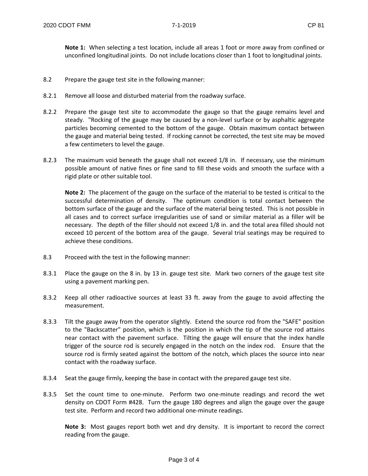**Note 1:** When selecting a test location, include all areas 1 foot or more away from confined or unconfined longitudinal joints. Do not include locations closer than 1 foot to longitudinal joints.

- 8.2 Prepare the gauge test site in the following manner:
- 8.2.1 Remove all loose and disturbed material from the roadway surface.
- 8.2.2 Prepare the gauge test site to accommodate the gauge so that the gauge remains level and steady. "Rocking of the gauge may be caused by a non-level surface or by asphaltic aggregate particles becoming cemented to the bottom of the gauge. Obtain maximum contact between the gauge and material being tested. If rocking cannot be corrected, the test site may be moved a few centimeters to level the gauge.
- 8.2.3 The maximum void beneath the gauge shall not exceed 1/8 in. If necessary, use the minimum possible amount of native fines or fine sand to fill these voids and smooth the surface with a rigid plate or other suitable tool.

**Note 2:** The placement of the gauge on the surface of the material to be tested is critical to the successful determination of density. The optimum condition is total contact between the bottom surface of the gauge and the surface of the material being tested. This is not possible in all cases and to correct surface irregularities use of sand or similar material as a filler will be necessary. The depth of the filler should not exceed 1/8 in. and the total area filled should not exceed 10 percent of the bottom area of the gauge. Several trial seatings may be required to achieve these conditions.

- 8.3 Proceed with the test in the following manner:
- 8.3.1 Place the gauge on the 8 in. by 13 in. gauge test site. Mark two corners of the gauge test site using a pavement marking pen.
- 8.3.2 Keep all other radioactive sources at least 33 ft. away from the gauge to avoid affecting the measurement.
- 8.3.3 Tilt the gauge away from the operator slightly. Extend the source rod from the "SAFE" position to the "Backscatter" position, which is the position in which the tip of the source rod attains near contact with the pavement surface. Tilting the gauge will ensure that the index handle trigger of the source rod is securely engaged in the notch on the index rod. Ensure that the source rod is firmly seated against the bottom of the notch, which places the source into near contact with the roadway surface.
- 8.3.4 Seat the gauge firmly, keeping the base in contact with the prepared gauge test site.
- 8.3.5 Set the count time to one-minute. Perform two one-minute readings and record the wet density on CDOT Form #428. Turn the gauge 180 degrees and align the gauge over the gauge test site. Perform and record two additional one-minute readings.

**Note 3:** Most gauges report both wet and dry density. It is important to record the correct reading from the gauge.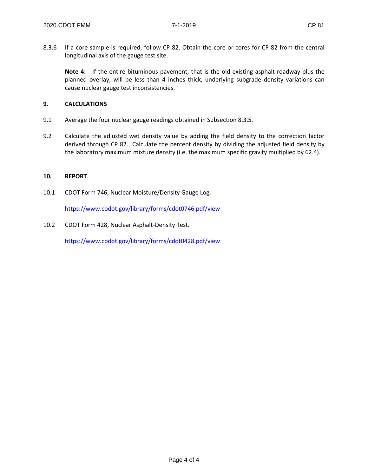8.3.6 If a core sample is required, follow CP 82. Obtain the core or cores for CP 82 from the central longitudinal axis of the gauge test site.

**Note 4:** If the entire bituminous pavement, that is the old existing asphalt roadway plus the planned overlay, will be less than 4 inches thick, underlying subgrade density variations can cause nuclear gauge test inconsistencies.

#### **9. CALCULATIONS**

- 9.1 Average the four nuclear gauge readings obtained in Subsection 8.3.5.
- 9.2 Calculate the adjusted wet density value by adding the field density to the correction factor derived through CP 82. Calculate the percent density by dividing the adjusted field density by the laboratory maximum mixture density (i.e. the maximum specific gravity multiplied by 62.4).

#### **10. REPORT**

10.1 CDOT Form 746, Nuclear Moisture/Density Gauge Log.

<https://www.codot.gov/library/forms/cdot0746.pdf/view>

10.2 CDOT Form 428, Nuclear Asphalt-Density Test.

<https://www.codot.gov/library/forms/cdot0428.pdf/view>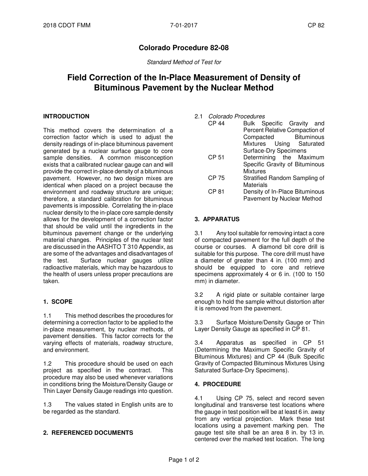# **Colorado Procedure 82-08**

Standard Method of Test for

# **Field Correction of the In-Place Measurement of Density of Bituminous Pavement by the Nuclear Method**

## **INTRODUCTION**

This method covers the determination of a correction factor which is used to adjust the density readings of in-place bituminous pavement generated by a nuclear surface gauge to core sample densities. A common misconception exists that a calibrated nuclear gauge can and will provide the correct in-place density of a bituminous pavement. However, no two design mixes are identical when placed on a project because the environment and roadway structure are unique; therefore, a standard calibration for bituminous pavements is impossible. Correlating the in-place nuclear density to the in-place core sample density allows for the development of a correction factor that should be valid until the ingredients in the bituminous pavement change or the underlying material changes. Principles of the nuclear test are discussed in the AASHTO T 310 Appendix, as are some of the advantages and disadvantages of the test. Surface nuclear gauges utilize radioactive materials, which may be hazardous to the health of users unless proper precautions are taken.

# **1. SCOPE**

1.1 This method describes the procedures for determining a correction factor to be applied to the in-place measurement, by nuclear methods, of pavement densities. This factor corrects for the varying effects of materials, roadway structure, and environment.

1.2 This procedure should be used on each project as specified in the contract. This procedure may also be used whenever variations in conditions bring the Moisture/Density Gauge or Thin Layer Density Gauge readings into question.

1.3 The values stated in English units are to be regarded as the standard.

# **2. REFERENCED DOCUMENTS**

|  | 2.1 Colorado Procedures |  |
|--|-------------------------|--|
|--|-------------------------|--|

| Bulk Specific Gravity and      |
|--------------------------------|
| Percent Relative Compaction of |
| Compacted Bituminous           |
| Mixtures Using Saturated       |
| <b>Surface-Dry Specimens</b>   |
| Determining the Maximum        |
| Specific Gravity of Bituminous |
| <b>Mixtures</b>                |
| Stratified Random Sampling of  |
|                                |

**Materials** CP 81 Density of In-Place Bituminous Pavement by Nuclear Method

# **3. APPARATUS**

3.1 Any tool suitable for removing intact a core of compacted pavement for the full depth of the course or courses. A diamond bit core drill is suitable for this purpose. The core drill must have a diameter of greater than 4 in. (100 mm) and should be equipped to core and retrieve specimens approximately 4 or 6 in. (100 to 150 mm) in diameter.

3.2 A rigid plate or suitable container large enough to hold the sample without distortion after it is removed from the pavement.

3.3 Surface Moisture/Density Gauge or Thin Layer Density Gauge as specified in CP 81.

3.4 Apparatus as specified in CP 51 (Determining the Maximum Specific Gravity of Bituminous Mixtures) and CP 44 (Bulk Specific Gravity of Compacted Bituminous Mixtures Using Saturated Surface-Dry Specimens).

#### **4. PROCEDURE**

4.1 Using CP 75, select and record seven longitudinal and transverse test locations where the gauge in test position will be at least 6 in. away from any vertical projection. Mark these test locations using a pavement marking pen. The gauge test site shall be an area 8 in. by 13 in. centered over the marked test location. The long